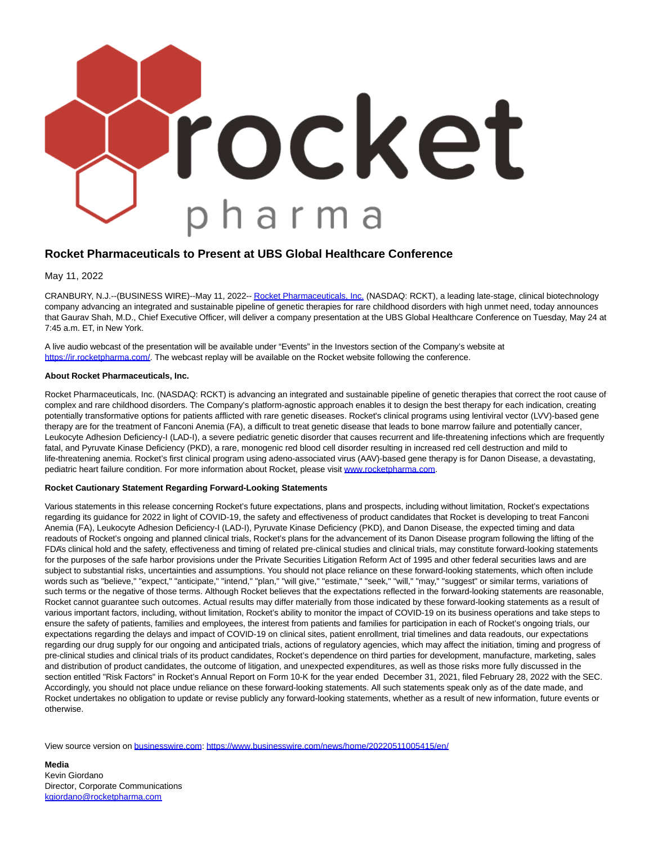

## **Rocket Pharmaceuticals to Present at UBS Global Healthcare Conference**

May 11, 2022

CRANBURY, N.J.--(BUSINESS WIRE)--May 11, 2022-[- Rocket Pharmaceuticals, Inc. \(](https://cts.businesswire.com/ct/CT?id=smartlink&url=https%3A%2F%2Frocketpharma.com%2F&esheet=52715392&newsitemid=20220511005415&lan=en-US&anchor=Rocket+Pharmaceuticals%2C+Inc.&index=1&md5=8934ad5192b5147581e529460612d192)NASDAQ: RCKT), a leading late-stage, clinical biotechnology company advancing an integrated and sustainable pipeline of genetic therapies for rare childhood disorders with high unmet need, today announces that Gaurav Shah, M.D., Chief Executive Officer, will deliver a company presentation at the UBS Global Healthcare Conference on Tuesday, May 24 at 7:45 a.m. ET, in New York.

A live audio webcast of the presentation will be available under "Events" in the Investors section of the Company's website at [https://ir.rocketpharma.com/.](https://cts.businesswire.com/ct/CT?id=smartlink&url=https%3A%2F%2Fir.rocketpharma.com%2F&esheet=52715392&newsitemid=20220511005415&lan=en-US&anchor=https%3A%2F%2Fir.rocketpharma.com%2F&index=2&md5=f5fcd9c3b0de9a07fa7767e232cef15a) The webcast replay will be available on the Rocket website following the conference.

## **About Rocket Pharmaceuticals, Inc.**

Rocket Pharmaceuticals, Inc. (NASDAQ: RCKT) is advancing an integrated and sustainable pipeline of genetic therapies that correct the root cause of complex and rare childhood disorders. The Company's platform-agnostic approach enables it to design the best therapy for each indication, creating potentially transformative options for patients afflicted with rare genetic diseases. Rocket's clinical programs using lentiviral vector (LVV)-based gene therapy are for the treatment of Fanconi Anemia (FA), a difficult to treat genetic disease that leads to bone marrow failure and potentially cancer, Leukocyte Adhesion Deficiency-I (LAD-I), a severe pediatric genetic disorder that causes recurrent and life-threatening infections which are frequently fatal, and Pyruvate Kinase Deficiency (PKD), a rare, monogenic red blood cell disorder resulting in increased red cell destruction and mild to life-threatening anemia. Rocket's first clinical program using adeno-associated virus (AAV)-based gene therapy is for Danon Disease, a devastating, pediatric heart failure condition. For more information about Rocket, please visit [www.rocketpharma.com.](https://cts.businesswire.com/ct/CT?id=smartlink&url=http%3A%2F%2Fwww.rocketpharma.com&esheet=52715392&newsitemid=20220511005415&lan=en-US&anchor=www.rocketpharma.com&index=3&md5=6d862887d2427b6379948d28a0a29c6e)

## **Rocket Cautionary Statement Regarding Forward-Looking Statements**

Various statements in this release concerning Rocket's future expectations, plans and prospects, including without limitation, Rocket's expectations regarding its guidance for 2022 in light of COVID-19, the safety and effectiveness of product candidates that Rocket is developing to treat Fanconi Anemia (FA), Leukocyte Adhesion Deficiency-I (LAD-I), Pyruvate Kinase Deficiency (PKD), and Danon Disease, the expected timing and data readouts of Rocket's ongoing and planned clinical trials, Rocket's plans for the advancement of its Danon Disease program following the lifting of the FDA's clinical hold and the safety, effectiveness and timing of related pre-clinical studies and clinical trials, may constitute forward-looking statements for the purposes of the safe harbor provisions under the Private Securities Litigation Reform Act of 1995 and other federal securities laws and are subject to substantial risks, uncertainties and assumptions. You should not place reliance on these forward-looking statements, which often include words such as "believe," "expect," "anticipate," "intend," "plan," "will give," "estimate," "seek," "will," "may," "suggest" or similar terms, variations of such terms or the negative of those terms. Although Rocket believes that the expectations reflected in the forward-looking statements are reasonable, Rocket cannot guarantee such outcomes. Actual results may differ materially from those indicated by these forward-looking statements as a result of various important factors, including, without limitation, Rocket's ability to monitor the impact of COVID-19 on its business operations and take steps to ensure the safety of patients, families and employees, the interest from patients and families for participation in each of Rocket's ongoing trials, our expectations regarding the delays and impact of COVID-19 on clinical sites, patient enrollment, trial timelines and data readouts, our expectations regarding our drug supply for our ongoing and anticipated trials, actions of regulatory agencies, which may affect the initiation, timing and progress of pre-clinical studies and clinical trials of its product candidates, Rocket's dependence on third parties for development, manufacture, marketing, sales and distribution of product candidates, the outcome of litigation, and unexpected expenditures, as well as those risks more fully discussed in the section entitled "Risk Factors" in Rocket's Annual Report on Form 10-K for the year ended December 31, 2021, filed February 28, 2022 with the SEC. Accordingly, you should not place undue reliance on these forward-looking statements. All such statements speak only as of the date made, and Rocket undertakes no obligation to update or revise publicly any forward-looking statements, whether as a result of new information, future events or otherwise.

View source version on [businesswire.com:](http://businesswire.com/)<https://www.businesswire.com/news/home/20220511005415/en/>

**Media** Kevin Giordano Director, Corporate Communications [kgiordano@rocketpharma.com](mailto:kgiordano@rocketpharma.com)